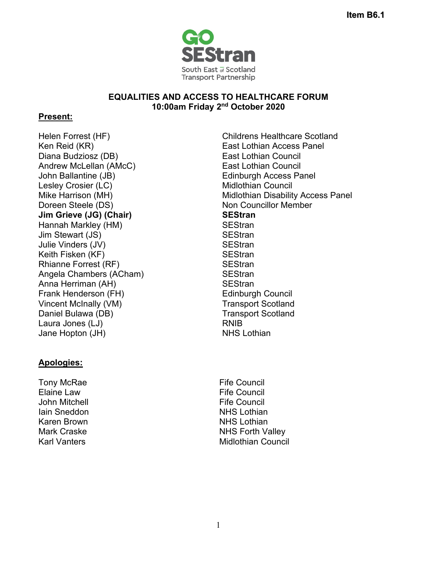

## **EQUALITIES AND ACCESS TO HEALTHCARE FORUM 10:00am Friday 2nd October 2020**

## **Present:**

Ken Reid (KR) East Lothian Access Panel Diana Budziosz (DB) Andrew McLellan (AMcC) John Ballantine (JB) Edinburgh Access Panel Lesley Crosier (LC) Note and Midlothian Council Mike Harrison (MH) Doreen Steele (DS) **Jim Grieve (JG) (Chair)** Hannah Markley (HM) SEStran Jim Stewart (JS) SEStran Julie Vinders (JV) SEStran Keith Fisken (KF) SEStran Rhianne Forrest (RF) Angela Chambers (ACham) Anna Herriman (AH) Frank Henderson (FH) Vincent McInally (VM) Daniel Bulawa (DB) Laura Jones (LJ) Jane Hopton (JH)

## **Apologies:**

Tony McRae Elaine Law John Mitchell Iain Sneddon Karen Brown Mark Craske Karl Vanters

Helen Forrest (HF) Childrens Healthcare Scotland East Lothian Council East Lothian Council Midlothian Disability Access Panel Non Councillor Member **SEStran SEStran SEStran SEStran** Edinburgh Council Transport Scotland Transport Scotland RNIB NHS Lothian

> Fife Council Fife Council Fife Council NHS Lothian NHS Lothian NHS Forth Valley Midlothian Council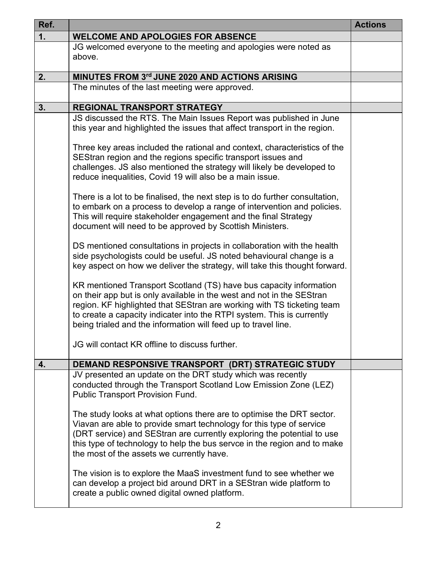| Ref. |                                                                                                                                                                                                                                                                                                                                                                   | <b>Actions</b> |
|------|-------------------------------------------------------------------------------------------------------------------------------------------------------------------------------------------------------------------------------------------------------------------------------------------------------------------------------------------------------------------|----------------|
| 1.   | <b>WELCOME AND APOLOGIES FOR ABSENCE</b>                                                                                                                                                                                                                                                                                                                          |                |
|      | JG welcomed everyone to the meeting and apologies were noted as<br>above.                                                                                                                                                                                                                                                                                         |                |
| 2.   | MINUTES FROM 3rd JUNE 2020 AND ACTIONS ARISING                                                                                                                                                                                                                                                                                                                    |                |
|      | The minutes of the last meeting were approved.                                                                                                                                                                                                                                                                                                                    |                |
| 3.   | <b>REGIONAL TRANSPORT STRATEGY</b>                                                                                                                                                                                                                                                                                                                                |                |
|      | JS discussed the RTS. The Main Issues Report was published in June<br>this year and highlighted the issues that affect transport in the region.                                                                                                                                                                                                                   |                |
|      | Three key areas included the rational and context, characteristics of the<br>SEStran region and the regions specific transport issues and<br>challenges. JS also mentioned the strategy will likely be developed to<br>reduce inequalities, Covid 19 will also be a main issue.                                                                                   |                |
|      | There is a lot to be finalised, the next step is to do further consultation,<br>to embark on a process to develop a range of intervention and policies.<br>This will require stakeholder engagement and the final Strategy<br>document will need to be approved by Scottish Ministers.                                                                            |                |
|      | DS mentioned consultations in projects in collaboration with the health<br>side psychologists could be useful. JS noted behavioural change is a<br>key aspect on how we deliver the strategy, will take this thought forward.                                                                                                                                     |                |
|      | KR mentioned Transport Scotland (TS) have bus capacity information<br>on their app but is only available in the west and not in the SEStran<br>region. KF highlighted that SEStran are working with TS ticketing team<br>to create a capacity indicater into the RTPI system. This is currently<br>being trialed and the information will feed up to travel line. |                |
|      | JG will contact KR offline to discuss further.                                                                                                                                                                                                                                                                                                                    |                |
| 4.   | DEMAND RESPONSIVE TRANSPORT (DRT) STRATEGIC STUDY                                                                                                                                                                                                                                                                                                                 |                |
|      | JV presented an update on the DRT study which was recently<br>conducted through the Transport Scotland Low Emission Zone (LEZ)<br><b>Public Transport Provision Fund.</b>                                                                                                                                                                                         |                |
|      | The study looks at what options there are to optimise the DRT sector.<br>Viavan are able to provide smart technology for this type of service<br>(DRT service) and SEStran are currently exploring the potential to use<br>this type of technology to help the bus servce in the region and to make<br>the most of the assets we currently have.                  |                |
|      | The vision is to explore the MaaS investment fund to see whether we<br>can develop a project bid around DRT in a SEStran wide platform to<br>create a public owned digital owned platform.                                                                                                                                                                        |                |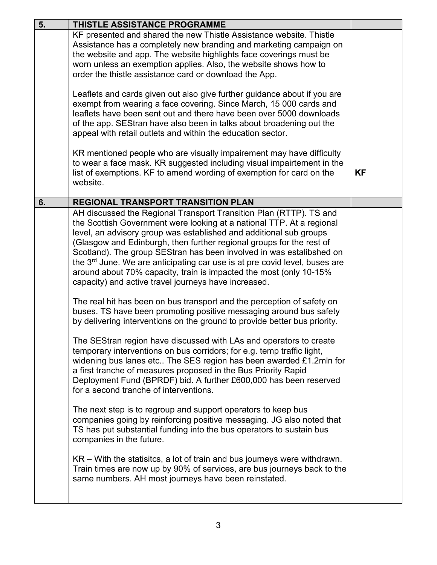| 5. | <b>THISTLE ASSISTANCE PROGRAMME</b>                                                                                                                                                                                                                                                                                                                                                                                                                                                                                                                                                                                                                                                                                                                                                                                                                                                                                                                                                                                                                                                                                                                                                                                                                                                                                                                                                                                                                                                                                                                                                                                                                                                           |           |
|----|-----------------------------------------------------------------------------------------------------------------------------------------------------------------------------------------------------------------------------------------------------------------------------------------------------------------------------------------------------------------------------------------------------------------------------------------------------------------------------------------------------------------------------------------------------------------------------------------------------------------------------------------------------------------------------------------------------------------------------------------------------------------------------------------------------------------------------------------------------------------------------------------------------------------------------------------------------------------------------------------------------------------------------------------------------------------------------------------------------------------------------------------------------------------------------------------------------------------------------------------------------------------------------------------------------------------------------------------------------------------------------------------------------------------------------------------------------------------------------------------------------------------------------------------------------------------------------------------------------------------------------------------------------------------------------------------------|-----------|
|    | KF presented and shared the new Thistle Assistance website. Thistle<br>Assistance has a completely new branding and marketing campaign on<br>the website and app. The website highlights face coverings must be<br>worn unless an exemption applies. Also, the website shows how to<br>order the thistle assistance card or download the App.                                                                                                                                                                                                                                                                                                                                                                                                                                                                                                                                                                                                                                                                                                                                                                                                                                                                                                                                                                                                                                                                                                                                                                                                                                                                                                                                                 |           |
|    | Leaflets and cards given out also give further guidance about if you are<br>exempt from wearing a face covering. Since March, 15 000 cards and<br>leaflets have been sent out and there have been over 5000 downloads<br>of the app. SEStran have also been in talks about broadening out the<br>appeal with retail outlets and within the education sector.                                                                                                                                                                                                                                                                                                                                                                                                                                                                                                                                                                                                                                                                                                                                                                                                                                                                                                                                                                                                                                                                                                                                                                                                                                                                                                                                  |           |
|    | KR mentioned people who are visually impairement may have difficulty<br>to wear a face mask. KR suggested including visual impairtement in the<br>list of exemptions. KF to amend wording of exemption for card on the<br>website.                                                                                                                                                                                                                                                                                                                                                                                                                                                                                                                                                                                                                                                                                                                                                                                                                                                                                                                                                                                                                                                                                                                                                                                                                                                                                                                                                                                                                                                            | <b>KF</b> |
| 6. | <b>REGIONAL TRANSPORT TRANSITION PLAN</b>                                                                                                                                                                                                                                                                                                                                                                                                                                                                                                                                                                                                                                                                                                                                                                                                                                                                                                                                                                                                                                                                                                                                                                                                                                                                                                                                                                                                                                                                                                                                                                                                                                                     |           |
|    | AH discussed the Regional Transport Transition Plan (RTTP). TS and<br>the Scottish Government were looking at a national TTP. At a regional<br>level, an advisory group was established and additional sub groups<br>(Glasgow and Edinburgh, then further regional groups for the rest of<br>Scotland). The group SEStran has been involved in was estalibshed on<br>the 3 <sup>rd</sup> June. We are anticipating car use is at pre covid level, buses are<br>around about 70% capacity, train is impacted the most (only 10-15%<br>capacity) and active travel journeys have increased.<br>The real hit has been on bus transport and the perception of safety on<br>buses. TS have been promoting positive messaging around bus safety<br>by delivering interventions on the ground to provide better bus priority.<br>The SEStran region have discussed with LAs and operators to create<br>temporary interventions on bus corridors; for e.g. temp traffic light,<br>widening bus lanes etc The SES region has been awarded £1.2mln for<br>a first tranche of measures proposed in the Bus Priority Rapid<br>Deployment Fund (BPRDF) bid. A further £600,000 has been reserved<br>for a second tranche of interventions.<br>The next step is to regroup and support operators to keep bus<br>companies going by reinforcing positive messaging. JG also noted that<br>TS has put substantial funding into the bus operators to sustain bus<br>companies in the future.<br>$KR - With$ the statisitcs, a lot of train and bus journeys were withdrawn.<br>Train times are now up by 90% of services, are bus journeys back to the<br>same numbers. AH most journeys have been reinstated. |           |